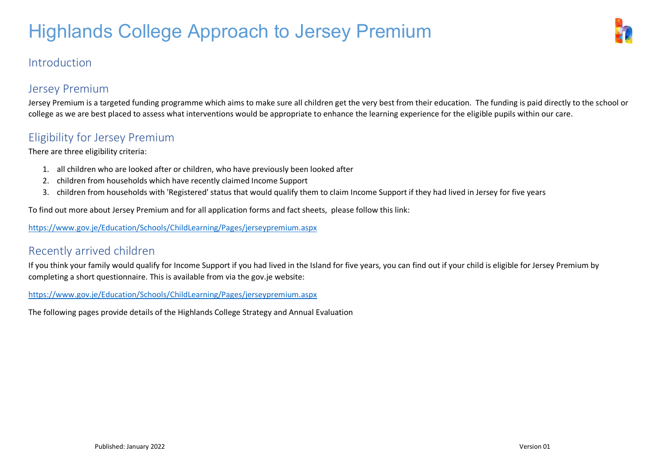#### Introduction

#### Jersey Premium

Jersey Premium is a targeted funding programme which aims to make sure all children get the very best from their education. The funding is paid directly to the school or college as we are best placed to assess what interventions would be appropriate to enhance the learning experience for the eligible pupils within our care.

#### Eligibility for Jersey Premium

There are three eligibility criteria:

- 1. all children who are looked after or children, who have previously been looked after
- 2. children from households which have recently claimed Income Support
- 3. children from households with 'Registered' status that would qualify them to claim Income Support if they had lived in Jersey for five years

To find out more about Jersey Premium and for all application forms and fact sheets, please follow this link:

<https://www.gov.je/Education/Schools/ChildLearning/Pages/jerseypremium.aspx>

#### Recently arrived children

If you think your family would qualify for Income Support if you had lived in the Island for five years, you can find out if your child is eligible for Jersey Premium by completing a short questionnaire. This is available from via the gov.je website:

<https://www.gov.je/Education/Schools/ChildLearning/Pages/jerseypremium.aspx>

The following pages provide details of the Highlands College Strategy and Annual Evaluation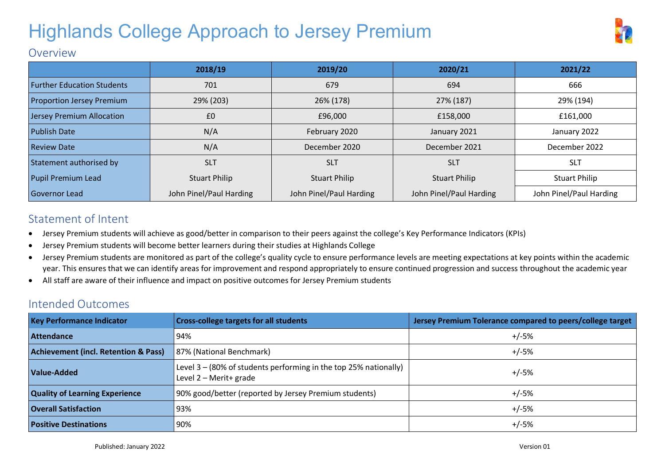

#### Overview

|                                   | 2018/19                 | 2019/20                 | 2020/21                 | 2021/22                 |
|-----------------------------------|-------------------------|-------------------------|-------------------------|-------------------------|
| <b>Further Education Students</b> | 701                     | 679                     | 694                     | 666                     |
| <b>Proportion Jersey Premium</b>  | 29% (203)               | 26% (178)<br>27% (187)  |                         | 29% (194)               |
| Jersey Premium Allocation         | £0                      | £96,000<br>£158,000     |                         | £161,000                |
| <b>Publish Date</b>               | N/A                     | February 2020           | January 2021            | January 2022            |
| <b>Review Date</b>                | N/A                     | December 2020           | December 2021           | December 2022           |
| Statement authorised by           | <b>SLT</b>              | <b>SLT</b>              | <b>SLT</b>              | <b>SLT</b>              |
| Pupil Premium Lead                | <b>Stuart Philip</b>    | <b>Stuart Philip</b>    | <b>Stuart Philip</b>    | <b>Stuart Philip</b>    |
| <b>Governor Lead</b>              | John Pinel/Paul Harding | John Pinel/Paul Harding | John Pinel/Paul Harding | John Pinel/Paul Harding |

#### Statement of Intent

- Jersey Premium students will achieve as good/better in comparison to their peers against the college's Key Performance Indicators (KPIs)
- Jersey Premium students will become better learners during their studies at Highlands College
- Jersey Premium students are monitored as part of the college's quality cycle to ensure performance levels are meeting expectations at key points within the academic year. This ensures that we can identify areas for improvement and respond appropriately to ensure continued progression and success throughout the academic year
- All staff are aware of their influence and impact on positive outcomes for Jersey Premium students

#### Intended Outcomes

| <b>Key Performance Indicator</b>                | <b>Cross-college targets for all students</b>                                                 | Jersey Premium Tolerance compared to peers/college target |
|-------------------------------------------------|-----------------------------------------------------------------------------------------------|-----------------------------------------------------------|
| <b>Attendance</b>                               | 94%                                                                                           | $+/-5%$                                                   |
| <b>Achievement (incl. Retention &amp; Pass)</b> | 87% (National Benchmark)                                                                      | $+/-5%$                                                   |
| Value-Added                                     | Level $3 - (80\%$ of students performing in the top 25% nationally)<br>Level 2 - Merit+ grade | $+/-5%$                                                   |
| <b>Quality of Learning Experience</b>           | 90% good/better (reported by Jersey Premium students)                                         | $+/-5%$                                                   |
| <b>Overall Satisfaction</b>                     | 93%                                                                                           | $+/-5%$                                                   |
| <b>Positive Destinations</b>                    | 90%                                                                                           | $+/-5%$                                                   |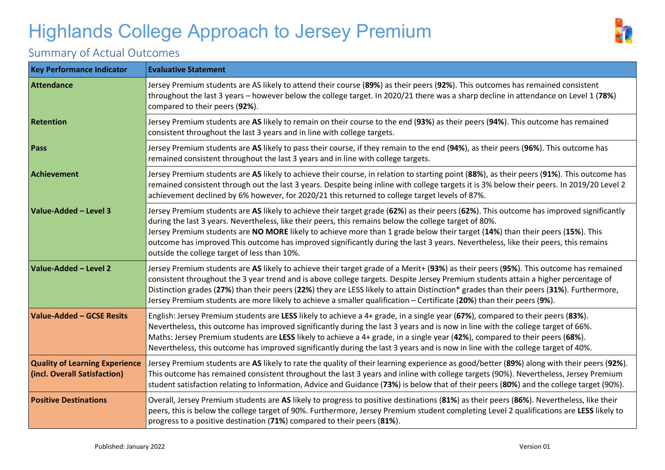

### Summary of Actual Outcomes

| <b>Key Performance Indicator</b>                                      | <b>Evaluative Statement</b>                                                                                                                                                                                                                                                                                                                                                                                                                                                                                                                                              |
|-----------------------------------------------------------------------|--------------------------------------------------------------------------------------------------------------------------------------------------------------------------------------------------------------------------------------------------------------------------------------------------------------------------------------------------------------------------------------------------------------------------------------------------------------------------------------------------------------------------------------------------------------------------|
| Attendance                                                            | Jersey Premium students are AS likely to attend their course (89%) as their peers (92%). This outcomes has remained consistent<br>throughout the last 3 years - however below the college target. In 2020/21 there was a sharp decline in attendance on Level 1 (78%)<br>compared to their peers (92%).                                                                                                                                                                                                                                                                  |
| <b>Retention</b>                                                      | Jersey Premium students are AS likely to remain on their course to the end (93%) as their peers (94%). This outcome has remained<br>consistent throughout the last 3 years and in line with college targets.                                                                                                                                                                                                                                                                                                                                                             |
| Pass                                                                  | Jersey Premium students are AS likely to pass their course, if they remain to the end (94%), as their peers (96%). This outcome has<br>remained consistent throughout the last 3 years and in line with college targets.                                                                                                                                                                                                                                                                                                                                                 |
| Achievement                                                           | Jersey Premium students are AS likely to achieve their course, in relation to starting point (88%), as their peers (91%). This outcome has<br>remained consistent through out the last 3 years. Despite being inline with college targets it is 3% below their peers. In 2019/20 Level 2<br>achievement declined by 6% however, for 2020/21 this returned to college target levels of 87%.                                                                                                                                                                               |
| Value-Added - Level 3                                                 | Jersey Premium students are AS likely to achieve their target grade (62%) as their peers (62%). This outcome has improved significantly<br>during the last 3 years. Nevertheless, like their peers, this remains below the college target of 80%.<br>Jersey Premium students are NO MORE likely to achieve more than 1 grade below their target (14%) than their peers (15%). This<br>outcome has improved This outcome has improved significantly during the last 3 years. Nevertheless, like their peers, this remains<br>outside the college target of less than 10%. |
| Value-Added - Level 2                                                 | Jersey Premium students are AS likely to achieve their target grade of a Merit+ (93%) as their peers (95%). This outcome has remained<br>consistent throughout the 3 year trend and is above college targets. Despite Jersey Premium students attain a higher percentage of<br>Distinction grades (27%) than their peers (22%) they are LESS likely to attain Distinction* grades than their peers (31%). Furthermore,<br>Jersey Premium students are more likely to achieve a smaller qualification - Certificate (20%) than their peers (9%).                          |
| Value-Added - GCSE Resits                                             | English: Jersey Premium students are LESS likely to achieve a 4+ grade, in a single year (67%), compared to their peers (83%).<br>Nevertheless, this outcome has improved significantly during the last 3 years and is now in line with the college target of 66%.<br>Maths: Jersey Premium students are LESS likely to achieve a 4+ grade, in a single year (42%), compared to their peers (68%).<br>Nevertheless, this outcome has improved significantly during the last 3 years and is now in line with the college target of 40%.                                   |
| <b>Quality of Learning Experience</b><br>(incl. Overall Satisfaction) | Jersey Premium students are AS likely to rate the quality of their learning experience as good/better (89%) along with their peers (92%).<br>This outcome has remained consistent throughout the last 3 years and inline with college targets (90%). Nevertheless, Jersey Premium<br>student satisfaction relating to Information, Advice and Guidance (73%) is below that of their peers (80%) and the college target (90%).                                                                                                                                            |
| <b>Positive Destinations</b>                                          | Overall, Jersey Premium students are AS likely to progress to positive destinations (81%) as their peers (86%). Nevertheless, like their<br>peers, this is below the college target of 90%. Furthermore, Jersey Premium student completing Level 2 qualifications are LESS likely to<br>progress to a positive destination (71%) compared to their peers (81%).                                                                                                                                                                                                          |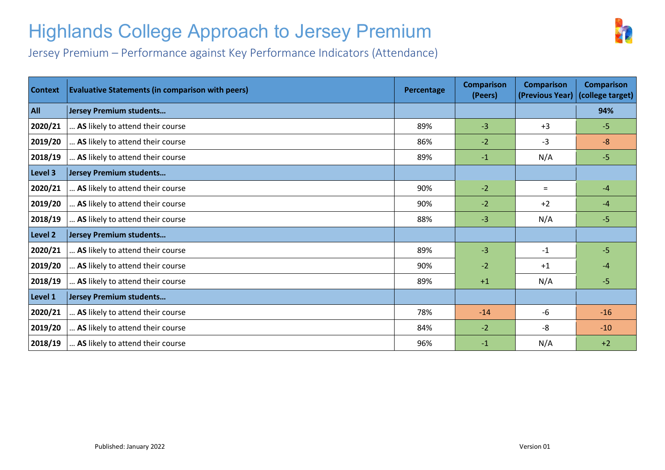

Jersey Premium – Performance against Key Performance Indicators (Attendance)

| <b>Context</b> | <b>Evaluative Statements (in comparison with peers)</b> | Percentage | <b>Comparison</b><br>(Peers) | <b>Comparison</b><br>(Previous Year) | <b>Comparison</b><br>(college target) |
|----------------|---------------------------------------------------------|------------|------------------------------|--------------------------------------|---------------------------------------|
| <b>All</b>     | <b>Jersey Premium students</b>                          |            |                              |                                      | 94%                                   |
| 2020/21        | AS likely to attend their course                        | 89%        | $-3$                         | $+3$                                 | $-5$                                  |
| 2019/20        | AS likely to attend their course                        | 86%        | $-2$                         | -3                                   | $-8$                                  |
| 2018/19        | AS likely to attend their course                        | 89%        | $-1$                         | N/A                                  | $-5$                                  |
| Level 3        | Jersey Premium students                                 |            |                              |                                      |                                       |
| 2020/21        | AS likely to attend their course                        | 90%        | $-2$                         | $=$                                  | $-4$                                  |
| 2019/20        | AS likely to attend their course                        | 90%        | $-2$                         | $+2$                                 | $-4$                                  |
| 2018/19        | AS likely to attend their course                        | 88%        | $-3$                         | N/A                                  | $-5$                                  |
| Level 2        | Jersey Premium students                                 |            |                              |                                      |                                       |
| 2020/21        | AS likely to attend their course                        | 89%        | $-3$                         | $-1$                                 | $-5$                                  |
| 2019/20        | AS likely to attend their course                        | 90%        | $-2$                         | $+1$                                 | $-4$                                  |
| 2018/19        | AS likely to attend their course                        | 89%        | $+1$                         | N/A                                  | $-5$                                  |
| Level 1        | Jersey Premium students                                 |            |                              |                                      |                                       |
| 2020/21        | AS likely to attend their course                        | 78%        | $-14$                        | -6                                   | $-16$                                 |
| 2019/20        | AS likely to attend their course                        | 84%        | $-2$                         | -8                                   | $-10$                                 |
| 2018/19        | AS likely to attend their course                        | 96%        | $-1$                         | N/A                                  | $+2$                                  |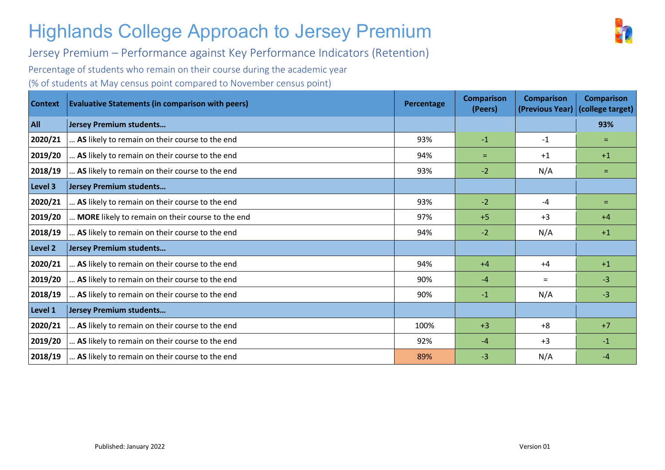Jersey Premium – Performance against Key Performance Indicators (Retention)

Percentage of students who remain on their course during the academic year

(% of students at May census point compared to November census point)

| <b>Context</b> | <b>Evaluative Statements (in comparison with peers)</b> | Percentage | <b>Comparison</b><br>(Peers) | <b>Comparison</b><br>(Previous Year) | <b>Comparison</b><br>(college target) |
|----------------|---------------------------------------------------------|------------|------------------------------|--------------------------------------|---------------------------------------|
| All            | Jersey Premium students                                 |            |                              |                                      | 93%                                   |
| 2020/21        | AS likely to remain on their course to the end          | 93%        | $-1$                         | $-1$                                 | $=$                                   |
| 2019/20        | AS likely to remain on their course to the end          | 94%        | $=$                          | $+1$                                 | $+1$                                  |
| 2018/19        | AS likely to remain on their course to the end          | 93%        | $-2$                         | N/A                                  | $=$                                   |
| Level 3        | Jersey Premium students                                 |            |                              |                                      |                                       |
| 2020/21        | AS likely to remain on their course to the end          | 93%        | $-2$                         | $-4$                                 | $=$                                   |
| 2019/20        | MORE likely to remain on their course to the end        | 97%        | $+5$                         | $+3$                                 | $+4$                                  |
| 2018/19        | AS likely to remain on their course to the end          | 94%        | $-2$                         | N/A                                  | $+1$                                  |
| Level 2        | Jersey Premium students                                 |            |                              |                                      |                                       |
| 2020/21        | AS likely to remain on their course to the end          | 94%        | $+4$                         | $+4$                                 | $+1$                                  |
| 2019/20        | AS likely to remain on their course to the end          | 90%        | $-4$                         | $=$                                  | $-3$                                  |
| 2018/19        | AS likely to remain on their course to the end          | 90%        | $-1$                         | N/A                                  | $-3$                                  |
| Level 1        | Jersey Premium students                                 |            |                              |                                      |                                       |
| 2020/21        | AS likely to remain on their course to the end          | 100%       | $+3$                         | $+8$                                 | $+7$                                  |
| 2019/20        | AS likely to remain on their course to the end          | 92%        | -4                           | $+3$                                 | $-1$                                  |
| 2018/19        | AS likely to remain on their course to the end          | 89%        | $-3$                         | N/A                                  | $-4$                                  |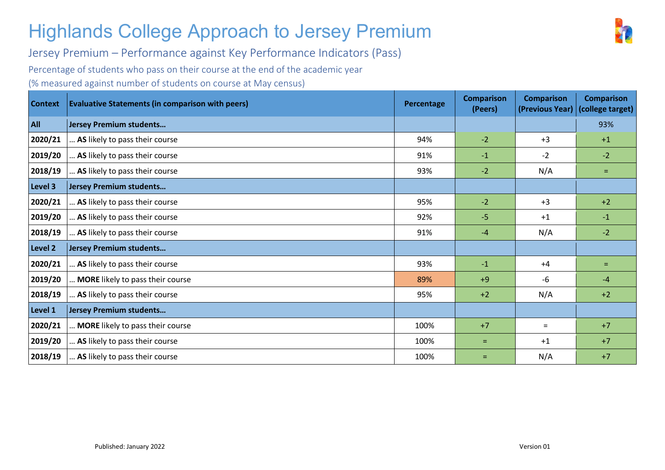Jersey Premium – Performance against Key Performance Indicators (Pass)

Percentage of students who pass on their course at the end of the academic year

(% measured against number of students on course at May census)

| <b>Context</b> | <b>Evaluative Statements (in comparison with peers)</b> | Percentage | <b>Comparison</b><br>(Peers) | <b>Comparison</b><br>(Previous Year) | <b>Comparison</b><br>(college target) |
|----------------|---------------------------------------------------------|------------|------------------------------|--------------------------------------|---------------------------------------|
| <b>All</b>     | Jersey Premium students                                 |            |                              |                                      | 93%                                   |
| 2020/21        | AS likely to pass their course                          | 94%        | $-2$                         | $+3$                                 | $+1$                                  |
| 2019/20        | AS likely to pass their course                          | 91%        | $-1$                         | $-2$                                 | $-2$                                  |
| 2018/19        | AS likely to pass their course                          | 93%        | $-2$                         | N/A                                  | $=$                                   |
| Level 3        | Jersey Premium students                                 |            |                              |                                      |                                       |
| 2020/21        | AS likely to pass their course                          | 95%        | $-2$                         | $+3$                                 | $+2$                                  |
| 2019/20        | AS likely to pass their course                          | 92%        | $-5$                         | $+1$                                 | $-1$                                  |
| 2018/19        | AS likely to pass their course                          | 91%        | $-4$                         | N/A                                  | $-2$                                  |
| Level 2        | Jersey Premium students                                 |            |                              |                                      |                                       |
| 2020/21        | AS likely to pass their course                          | 93%        | $-1$                         | $+4$                                 | $=$                                   |
| 2019/20        | MORE likely to pass their course                        | 89%        | $+9$                         | -6                                   | $-4$                                  |
| 2018/19        | AS likely to pass their course                          | 95%        | $+2$                         | N/A                                  | $+2$                                  |
| Level 1        | Jersey Premium students                                 |            |                              |                                      |                                       |
| 2020/21        | MORE likely to pass their course                        | 100%       | $+7$                         | $=$                                  | $+7$                                  |
| 2019/20        | AS likely to pass their course                          | 100%       | $=$                          | $+1$                                 | $+7$                                  |
| 2018/19        | AS likely to pass their course                          | 100%       | $=$                          | N/A                                  | $+7$                                  |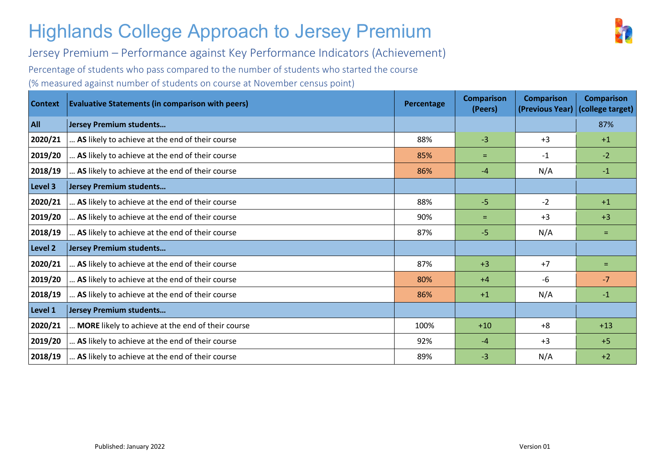Jersey Premium – Performance against Key Performance Indicators (Achievement)

Percentage of students who pass compared to the number of students who started the course

(% measured against number of students on course at November census point)

| <b>Context</b> | <b>Evaluative Statements (in comparison with peers)</b> | Percentage | <b>Comparison</b><br>(Peers) | <b>Comparison</b><br>(Previous Year) | <b>Comparison</b><br>(college target) |
|----------------|---------------------------------------------------------|------------|------------------------------|--------------------------------------|---------------------------------------|
| <b>All</b>     | <b>Jersey Premium students</b>                          |            |                              |                                      | 87%                                   |
| 2020/21        | AS likely to achieve at the end of their course         | 88%        | $-3$                         | $+3$                                 | $+1$                                  |
| 2019/20        | AS likely to achieve at the end of their course         | 85%        | $=$                          | $-1$                                 | $-2$                                  |
| 2018/19        | AS likely to achieve at the end of their course         | 86%        | $-4$                         | N/A                                  | $-1$                                  |
| Level 3        | <b>Jersey Premium students</b>                          |            |                              |                                      |                                       |
| 2020/21        | AS likely to achieve at the end of their course         | 88%        | $-5$                         | $-2$                                 | $+1$                                  |
| 2019/20        | AS likely to achieve at the end of their course         | 90%        | $=$                          | $+3$                                 | $+3$                                  |
| 2018/19        | AS likely to achieve at the end of their course         | 87%        | $-5$                         | N/A                                  | $=$                                   |
| Level 2        | <b>Jersey Premium students</b>                          |            |                              |                                      |                                       |
| 2020/21        | AS likely to achieve at the end of their course         | 87%        | $+3$                         | $+7$                                 | $=$                                   |
| 2019/20        | AS likely to achieve at the end of their course         | 80%        | $+4$                         | -6                                   | $-7$                                  |
| 2018/19        | AS likely to achieve at the end of their course         | 86%        | $+1$                         | N/A                                  | $-1$                                  |
| Level 1        | <b>Jersey Premium students</b>                          |            |                              |                                      |                                       |
| 2020/21        | MORE likely to achieve at the end of their course       | 100%       | $+10$                        | $+8$                                 | $+13$                                 |
| 2019/20        | AS likely to achieve at the end of their course         | 92%        | -4                           | $+3$                                 | $+5$                                  |
| 2018/19        | AS likely to achieve at the end of their course         | 89%        | -3                           | N/A                                  | $+2$                                  |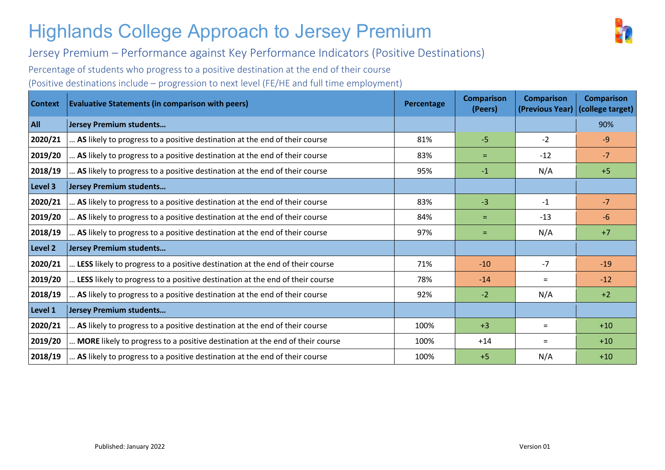

Jersey Premium – Performance against Key Performance Indicators (Positive Destinations)

Percentage of students who progress to a positive destination at the end of their course

(Positive destinations include – progression to next level (FE/HE and full time employment)

| <b>Context</b> | <b>Evaluative Statements (in comparison with peers)</b>                      | Percentage | <b>Comparison</b><br>(Peers) | <b>Comparison</b><br>(Previous Year) | <b>Comparison</b><br>(college target) |
|----------------|------------------------------------------------------------------------------|------------|------------------------------|--------------------------------------|---------------------------------------|
| All            | Jersey Premium students                                                      |            |                              |                                      | 90%                                   |
| 2020/21        | AS likely to progress to a positive destination at the end of their course   | 81%        | $-5$                         | $-2$                                 | $-9$                                  |
| 2019/20        | AS likely to progress to a positive destination at the end of their course   | 83%        | $=$                          | $-12$                                | $-7$                                  |
| 2018/19        | AS likely to progress to a positive destination at the end of their course   | 95%        | $-1$                         | N/A                                  | $+5$                                  |
| Level 3        | Jersey Premium students                                                      |            |                              |                                      |                                       |
| 2020/21        | AS likely to progress to a positive destination at the end of their course   | 83%        | $-3$                         | $-1$                                 | $-7$                                  |
| 2019/20        | AS likely to progress to a positive destination at the end of their course   | 84%        | $=$                          | $-13$                                | $-6$                                  |
| 2018/19        | AS likely to progress to a positive destination at the end of their course   | 97%        | $=$                          | N/A                                  | $+7$                                  |
| Level 2        | Jersey Premium students                                                      |            |                              |                                      |                                       |
| 2020/21        | LESS likely to progress to a positive destination at the end of their course | 71%        | $-10$                        | $-7$                                 | $-19$                                 |
| 2019/20        | LESS likely to progress to a positive destination at the end of their course | 78%        | $-14$                        | $=$                                  | $-12$                                 |
| 2018/19        | AS likely to progress to a positive destination at the end of their course   | 92%        | $-2$                         | N/A                                  | $+2$                                  |
| Level 1        | Jersey Premium students                                                      |            |                              |                                      |                                       |
| 2020/21        | AS likely to progress to a positive destination at the end of their course   | 100%       | $+3$                         | $=$                                  | $+10$                                 |
| 2019/20        | MORE likely to progress to a positive destination at the end of their course | 100%       | $+14$                        | $=$                                  | $+10$                                 |
| 2018/19        | AS likely to progress to a positive destination at the end of their course   | 100%       | $+5$                         | N/A                                  | $+10$                                 |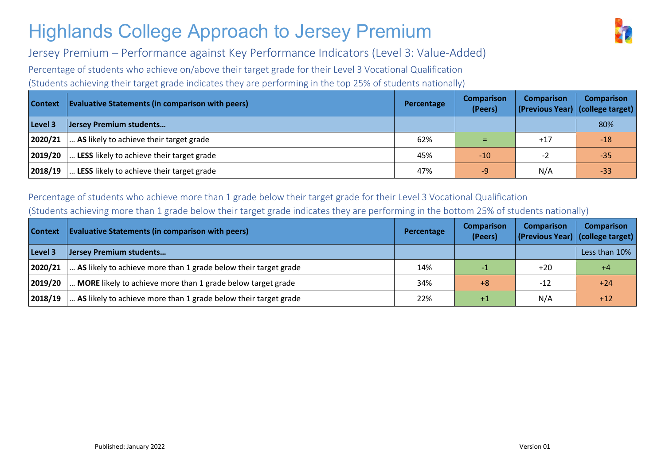

Jersey Premium – Performance against Key Performance Indicators (Level 3: Value-Added)

Percentage of students who achieve on/above their target grade for their Level 3 Vocational Qualification

(Students achieving their target grade indicates they are performing in the top 25% of students nationally)

| <b>Context</b> | <b>Evaluative Statements (in comparison with peers)</b> | Percentage | <b>Comparison</b><br>(Peers) | <b>Comparison</b> | <b>Comparison</b><br>(Previous Year) (college target) |
|----------------|---------------------------------------------------------|------------|------------------------------|-------------------|-------------------------------------------------------|
| Level 3        | Jersey Premium students                                 |            |                              |                   | 80%                                                   |
| 2020/21        | AS likely to achieve their target grade                 | 62%        |                              | $+17$             | $-18$                                                 |
| 2019/20        | LESS likely to achieve their target grade               | 45%        | $-10$                        | $-2$              | $-35$                                                 |
| 2018/19        | LESS likely to achieve their target grade               | 47%        | $-9'$                        | N/A               | $-33$                                                 |

#### Percentage of students who achieve more than 1 grade below their target grade for their Level 3 Vocational Qualification (Students achieving more than 1 grade below their target grade indicates they are performing in the bottom 25% of students nationally)

| <b>Context</b> | <b>Evaluative Statements (in comparison with peers)</b>         | Percentage | <b>Comparison</b><br>(Peers) | <b>Comparison</b><br>(Previous Year) (college target) | <b>Comparison</b> |
|----------------|-----------------------------------------------------------------|------------|------------------------------|-------------------------------------------------------|-------------------|
| Level 3        | Jersey Premium students                                         |            |                              |                                                       | Less than 10%     |
| 2020/21        | AS likely to achieve more than 1 grade below their target grade | 14%        |                              | $+20$                                                 | $+4$              |
| 2019/20        | MORE likely to achieve more than 1 grade below target grade     | 34%        | $+8$                         | $-12$                                                 | $+24$             |
| 2018/19        | AS likely to achieve more than 1 grade below their target grade | 22%        | $+1$                         | N/A                                                   | $+12$             |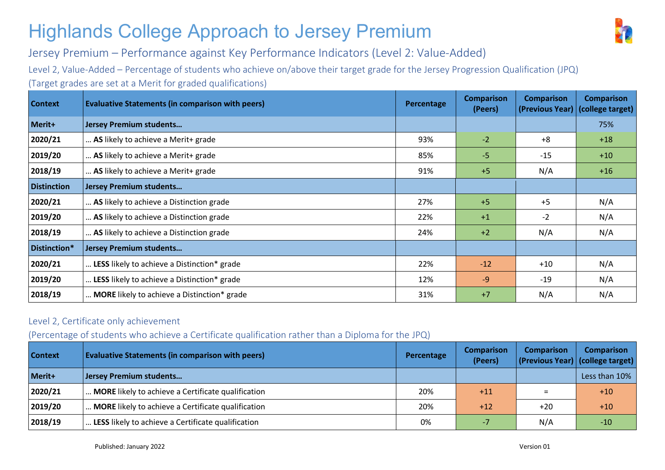

Jersey Premium – Performance against Key Performance Indicators (Level 2: Value-Added)

Level 2, Value-Added – Percentage of students who achieve on/above their target grade for the Jersey Progression Qualification (JPQ) (Target grades are set at a Merit for graded qualifications)

| <b>Context</b>     | <b>Evaluative Statements (in comparison with peers)</b> | Percentage | <b>Comparison</b><br>(Peers) | <b>Comparison</b><br>(Previous Year) | <b>Comparison</b><br>(college target) |
|--------------------|---------------------------------------------------------|------------|------------------------------|--------------------------------------|---------------------------------------|
| Merit+             | <b>Jersey Premium students</b>                          |            |                              |                                      | 75%                                   |
| 2020/21            | AS likely to achieve a Merit+ grade                     | 93%        | $-2$                         | $+8$                                 | $+18$                                 |
| 2019/20            | AS likely to achieve a Merit+ grade                     | 85%        | $-5$                         | $-15$                                | $+10$                                 |
| 2018/19            | AS likely to achieve a Merit+ grade                     | 91%        | $+5$                         | N/A                                  | $+16$                                 |
| <b>Distinction</b> | <b>Jersey Premium students</b>                          |            |                              |                                      |                                       |
| 2020/21            | AS likely to achieve a Distinction grade                | 27%        | $+5$                         | $+5$                                 | N/A                                   |
| 2019/20            | AS likely to achieve a Distinction grade                | 22%        | $+1$                         | $-2$                                 | N/A                                   |
| 2018/19            | AS likely to achieve a Distinction grade                | 24%        | $+2$                         | N/A                                  | N/A                                   |
| Distinction*       | <b>Jersey Premium students</b>                          |            |                              |                                      |                                       |
| 2020/21            | LESS likely to achieve a Distinction* grade             | 22%        | $-12$                        | $+10$                                | N/A                                   |
| 2019/20            | LESS likely to achieve a Distinction* grade             | 12%        | $-9$                         | $-19$                                | N/A                                   |
| 2018/19            | MORE likely to achieve a Distinction* grade             | 31%        | $+7$                         | N/A                                  | N/A                                   |

#### Level 2, Certificate only achievement

#### (Percentage of students who achieve a Certificate qualification rather than a Diploma for the JPQ)

| <b>Context</b> | <b>Evaluative Statements (in comparison with peers)</b> | Percentage | <b>Comparison</b><br>(Peers) | <b>Comparison</b> | <b>Comparison</b><br>(Previous Year) (college target) |
|----------------|---------------------------------------------------------|------------|------------------------------|-------------------|-------------------------------------------------------|
| Merit+         | Jersey Premium students                                 |            |                              |                   | Less than 10%                                         |
| 2020/21        | MORE likely to achieve a Certificate qualification      | 20%        | $+11$                        |                   | $+10$                                                 |
| 2019/20        | MORE likely to achieve a Certificate qualification      | 20%        | $+12$                        | $+20$             | $+10$                                                 |
| 2018/19        | LESS likely to achieve a Certificate qualification      | 0%         |                              | N/A               | $-10$                                                 |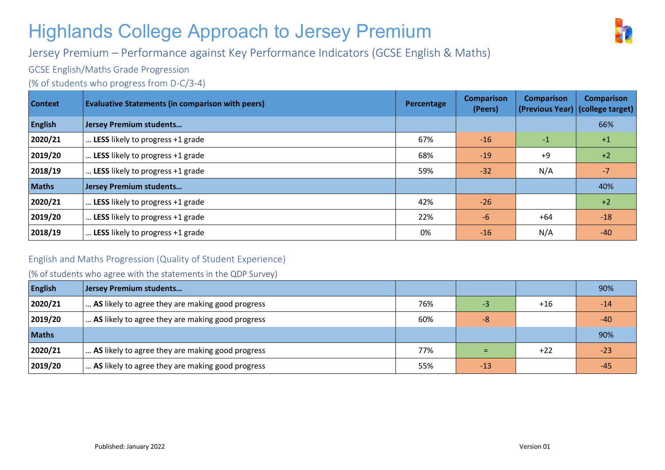

#### Jersey Premium – Performance against Key Performance Indicators (GCSE English & Maths)

GCSE English/Maths Grade Progression

(% of students who progress from D-C/3-4)

| <b>Context</b> | <b>Evaluative Statements (in comparison with peers)</b> | Percentage | <b>Comparison</b><br>(Peers) | <b>Comparison</b><br>(Previous Year) (college target) | <b>Comparison</b> |
|----------------|---------------------------------------------------------|------------|------------------------------|-------------------------------------------------------|-------------------|
| <b>English</b> | <b>Jersey Premium students</b>                          |            |                              |                                                       | 66%               |
| 2020/21        | LESS likely to progress +1 grade                        | 67%        | $-16$                        | $-1$                                                  | $+1$              |
| 2019/20        | LESS likely to progress +1 grade                        | 68%        | $-19$                        | $+9$                                                  | $+2$              |
| 2018/19        | LESS likely to progress +1 grade                        | 59%        | $-32$                        | N/A                                                   | $-7$              |
| <b>Maths</b>   | <b>Jersey Premium students</b>                          |            |                              |                                                       | 40%               |
| 2020/21        | LESS likely to progress +1 grade                        | 42%        | $-26$                        |                                                       | $+2$              |
| 2019/20        | LESS likely to progress +1 grade                        | 22%        | $-6$                         | $+64$                                                 | $-18$             |
| 2018/19        | LESS likely to progress +1 grade                        | 0%         | $-16$                        | N/A                                                   | $-40$             |

#### English and Maths Progression (Quality of Student Experience)

(% of students who agree with the statements in the QDP Survey)

| <b>English</b> | Jersey Premium students                          |     |       |       | 90%   |
|----------------|--------------------------------------------------|-----|-------|-------|-------|
| 2020/21        | AS likely to agree they are making good progress | 76% | -3    | $+16$ | $-14$ |
| 2019/20        | AS likely to agree they are making good progress | 60% | -8    |       | $-40$ |
| <b>Maths</b>   |                                                  |     |       |       | 90%   |
| 2020/21        | AS likely to agree they are making good progress | 77% | $=$   | $+22$ | $-23$ |
| 2019/20        | AS likely to agree they are making good progress | 55% | $-13$ |       | $-45$ |